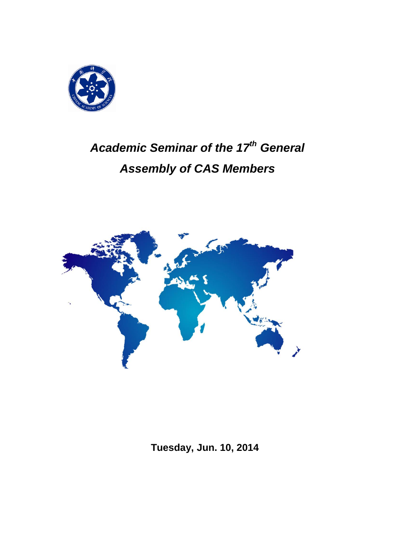

# *Academic Seminar of the 17th General Assembly of CAS Members*



**Tuesday, Jun. 10, 2014**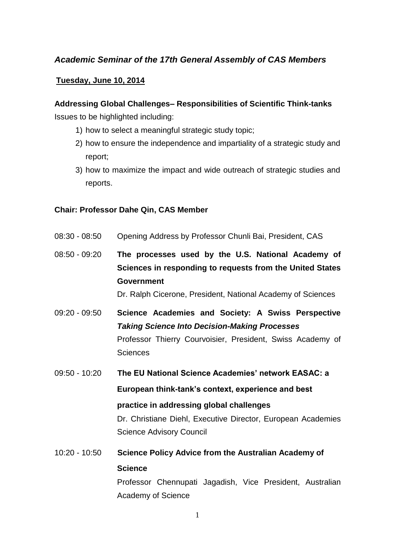## *Academic Seminar of the 17th General Assembly of CAS Members*

### **Tuesday, June 10, 2014**

## **Addressing Global Challenges– Responsibilities of Scientific Think-tanks** Issues to be highlighted including:

- 1) how to select a meaningful strategic study topic;
- 2) how to ensure the independence and impartiality of a strategic study and report;
- 3) how to maximize the impact and wide outreach of strategic studies and reports.

#### **Chair: Professor Dahe Qin, CAS Member**

- 08:30 08:50 Opening Address by Professor Chunli Bai, President, CAS
- 08:50 09:20 **The processes used by the U.S. National Academy of Sciences in responding to requests from the United States Government**

Dr. Ralph Cicerone, President, National Academy of Sciences

- 09:20 09:50 **Science Academies and Society: A Swiss Perspective**  *Taking Science Into Decision-Making Processes* Professor Thierry Courvoisier, President, Swiss Academy of Sciences
- 09:50 10:20 **The EU National Science Academies' network EASAC: a European think-tank's context, experience and best practice in addressing global challenges** Dr. Christiane Diehl, Executive Director, European Academies Science Advisory Council
- 10:20 10:50 **Science Policy Advice from the Australian Academy of Science** Professor Chennupati Jagadish, Vice President, Australian Academy of Science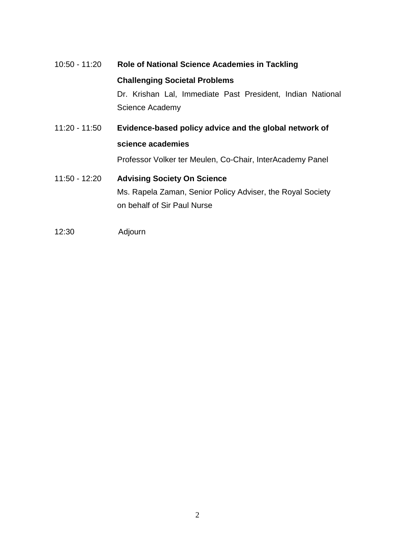# 10:50 - 11:20 **Role of National Science Academies in Tackling Challenging Societal Problems** Dr. Krishan Lal, Immediate Past President, Indian National Science Academy 11:20 - 11:50 **Evidence-based policy advice and the global network of science academies**

Professor Volker ter Meulen, Co-Chair, InterAcademy Panel

## 11:50 - 12:20 **Advising Society On Science** Ms. Rapela Zaman, Senior Policy Adviser, the Royal Society on behalf of Sir Paul Nurse

12:30 Adjourn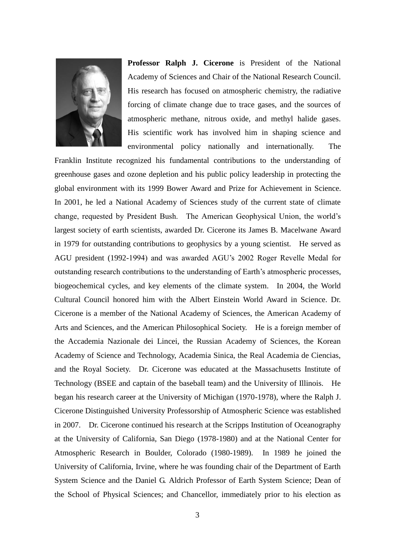

**Professor Ralph J. Cicerone** is President of the National Academy of Sciences and Chair of the National Research Council. His research has focused on atmospheric chemistry, the radiative forcing of climate change due to trace gases, and the sources of atmospheric methane, nitrous oxide, and methyl halide gases. His scientific work has involved him in shaping science and environmental policy nationally and internationally. The

Franklin Institute recognized his fundamental contributions to the understanding of greenhouse gases and ozone depletion and his public policy leadership in protecting the global environment with its 1999 Bower Award and Prize for Achievement in Science. In 2001, he led a National Academy of Sciences study of the current state of climate change, requested by President Bush. The American Geophysical Union, the world's largest society of earth scientists, awarded Dr. Cicerone its James B. Macelwane Award in 1979 for outstanding contributions to geophysics by a young scientist. He served as AGU president (1992-1994) and was awarded AGU's 2002 Roger Revelle Medal for outstanding research contributions to the understanding of Earth's atmospheric processes, biogeochemical cycles, and key elements of the climate system. In 2004, the World Cultural Council honored him with the Albert Einstein World Award in Science. Dr. Cicerone is a member of the National Academy of Sciences, the American Academy of Arts and Sciences, and the American Philosophical Society. He is a foreign member of the Accademia Nazionale dei Lincei, the Russian Academy of Sciences, the Korean Academy of Science and Technology, Academia Sinica, the Real Academia de Ciencias, and the Royal Society. Dr. Cicerone was educated at the Massachusetts Institute of Technology (BSEE and captain of the baseball team) and the University of Illinois. He began his research career at the University of Michigan (1970-1978), where the Ralph J. Cicerone Distinguished University Professorship of Atmospheric Science was established in 2007. Dr. Cicerone continued his research at the Scripps Institution of Oceanography at the University of California, San Diego (1978-1980) and at the National Center for Atmospheric Research in Boulder, Colorado (1980-1989). In 1989 he joined the University of California, Irvine, where he was founding chair of the Department of Earth System Science and the Daniel G. Aldrich Professor of Earth System Science; Dean of the School of Physical Sciences; and Chancellor, immediately prior to his election as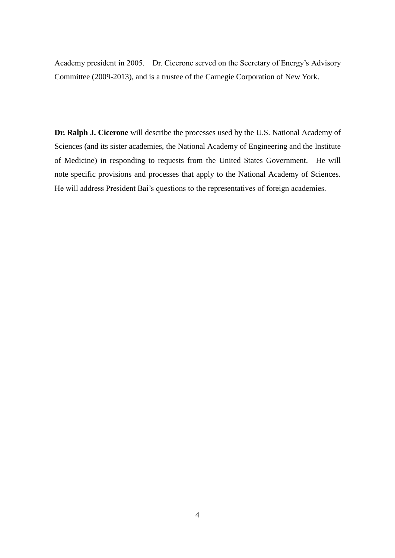Academy president in 2005. Dr. Cicerone served on the Secretary of Energy's Advisory Committee (2009-2013), and is a trustee of the Carnegie Corporation of New York.

**Dr. Ralph J. Cicerone** will describe the processes used by the U.S. National Academy of Sciences (and its sister academies, the National Academy of Engineering and the Institute of Medicine) in responding to requests from the United States Government. He will note specific provisions and processes that apply to the National Academy of Sciences. He will address President Bai's questions to the representatives of foreign academies.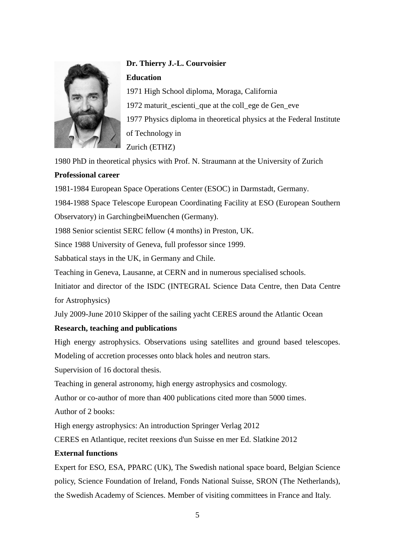

# **Dr. Thierry J.-L. Courvoisier Education**

1971 High School diploma, Moraga, California 1972 maturit escienti que at the college de Geneve 1977 Physics diploma in theoretical physics at the Federal Institute of Technology in Zurich (ETHZ)

1980 PhD in theoretical physics with Prof. N. Straumann at the University of Zurich

#### **Professional career**

1981-1984 European Space Operations Center (ESOC) in Darmstadt, Germany.

1984-1988 Space Telescope European Coordinating Facility at ESO (European Southern Observatory) in GarchingbeiMuenchen (Germany).

1988 Senior scientist SERC fellow (4 months) in Preston, UK.

Since 1988 University of Geneva, full professor since 1999.

Sabbatical stays in the UK, in Germany and Chile.

Teaching in Geneva, Lausanne, at CERN and in numerous specialised schools.

Initiator and director of the ISDC (INTEGRAL Science Data Centre, then Data Centre for Astrophysics)

July 2009-June 2010 Skipper of the sailing yacht CERES around the Atlantic Ocean

## **Research, teaching and publications**

High energy astrophysics. Observations using satellites and ground based telescopes.

Modeling of accretion processes onto black holes and neutron stars.

Supervision of 16 doctoral thesis.

Teaching in general astronomy, high energy astrophysics and cosmology.

Author or co-author of more than 400 publications cited more than 5000 times.

Author of 2 books:

High energy astrophysics: An introduction Springer Verlag 2012

CERES en Atlantique, recitet reexions d'un Suisse en mer Ed. Slatkine 2012

## **External functions**

Expert for ESO, ESA, PPARC (UK), The Swedish national space board, Belgian Science policy, Science Foundation of Ireland, Fonds National Suisse, SRON (The Netherlands), the Swedish Academy of Sciences. Member of visiting committees in France and Italy.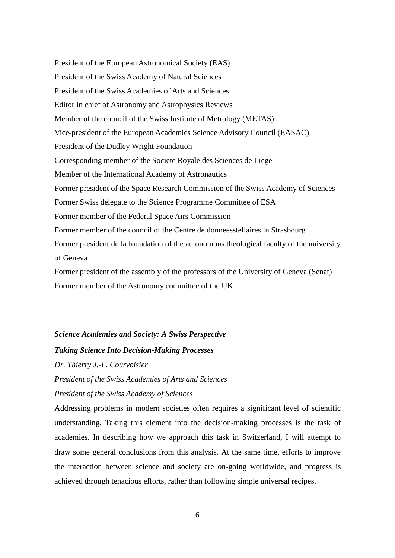President of the European Astronomical Society (EAS) President of the Swiss Academy of Natural Sciences President of the Swiss Academies of Arts and Sciences Editor in chief of Astronomy and Astrophysics Reviews Member of the council of the Swiss Institute of Metrology (METAS) Vice-president of the European Academies Science Advisory Council (EASAC) President of the Dudley Wright Foundation Corresponding member of the Societe Royale des Sciences de Liege Member of the International Academy of Astronautics Former president of the Space Research Commission of the Swiss Academy of Sciences Former Swiss delegate to the Science Programme Committee of ESA Former member of the Federal Space Airs Commission Former member of the council of the Centre de donneesstellaires in Strasbourg Former president de la foundation of the autonomous theological faculty of the university of Geneva Former president of the assembly of the professors of the University of Geneva (Senat) Former member of the Astronomy committee of the UK

#### *Science Academies and Society: A Swiss Perspective*

#### *Taking Science Into Decision-Making Processes*

*Dr. Thierry J.-L. Courvoisier*

*President of the Swiss Academies of Arts and Sciences*

#### *President of the Swiss Academy of Sciences*

Addressing problems in modern societies often requires a significant level of scientific understanding. Taking this element into the decision-making processes is the task of academies. In describing how we approach this task in Switzerland, I will attempt to draw some general conclusions from this analysis. At the same time, efforts to improve the interaction between science and society are on-going worldwide, and progress is achieved through tenacious efforts, rather than following simple universal recipes.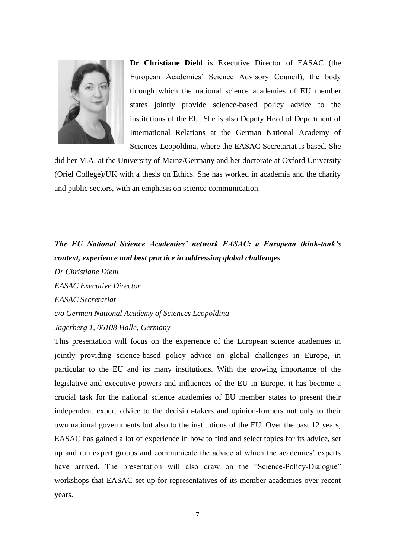

**Dr Christiane Diehl** is Executive Director of EASAC (the European Academies' Science Advisory Council), the body through which the national science academies of EU member states jointly provide science-based policy advice to the institutions of the EU. She is also Deputy Head of Department of International Relations at the German National Academy of Sciences Leopoldina, where the EASAC Secretariat is based. She

did her M.A. at the University of Mainz/Germany and her doctorate at Oxford University (Oriel College)/UK with a thesis on Ethics. She has worked in academia and the charity and public sectors, with an emphasis on science communication.

## *The EU National Science Academies' network EASAC: a European think-tank's context, experience and best practice in addressing global challenges*

*Dr Christiane Diehl*

*EASAC Executive Director*

*EASAC Secretariat*

*c/o German National Academy of Sciences Leopoldina Jägerberg 1, 06108 Halle, Germany*

This presentation will focus on the experience of the European science academies in jointly providing science-based policy advice on global challenges in Europe, in particular to the EU and its many institutions. With the growing importance of the legislative and executive powers and influences of the EU in Europe, it has become a crucial task for the national science academies of EU member states to present their independent expert advice to the decision-takers and opinion-formers not only to their own national governments but also to the institutions of the EU. Over the past 12 years, EASAC has gained a lot of experience in how to find and select topics for its advice, set up and run expert groups and communicate the advice at which the academies' experts have arrived. The presentation will also draw on the "Science-Policy-Dialogue" workshops that EASAC set up for representatives of its member academies over recent years.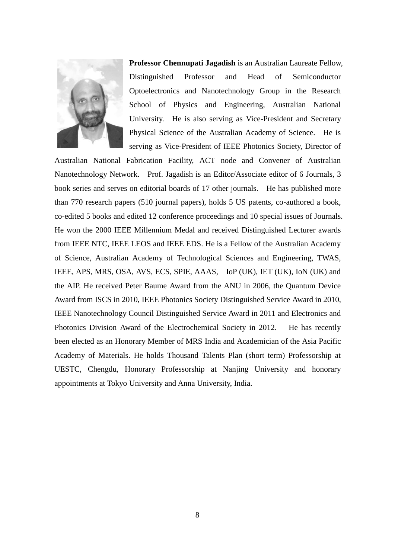

**Professor Chennupati Jagadish** is an Australian Laureate Fellow, Distinguished Professor and Head of Semiconductor Optoelectronics and Nanotechnology Group in the Research School of Physics and Engineering, Australian National University. He is also serving as Vice-President and Secretary Physical Science of the Australian Academy of Science. He is serving as Vice-President of IEEE Photonics Society, Director of

Australian National Fabrication Facility, ACT node and Convener of Australian Nanotechnology Network. Prof. Jagadish is an Editor/Associate editor of 6 Journals, 3 book series and serves on editorial boards of 17 other journals. He has published more than 770 research papers (510 journal papers), holds 5 US patents, co-authored a book, co-edited 5 books and edited 12 conference proceedings and 10 special issues of Journals. He won the 2000 IEEE Millennium Medal and received Distinguished Lecturer awards from IEEE NTC, IEEE LEOS and IEEE EDS. He is a Fellow of the Australian Academy of Science, Australian Academy of Technological Sciences and Engineering, TWAS, IEEE, APS, MRS, OSA, AVS, ECS, SPIE, AAAS, IoP (UK), IET (UK), IoN (UK) and the AIP. He received Peter Baume Award from the ANU in 2006, the Quantum Device Award from ISCS in 2010, IEEE Photonics Society Distinguished Service Award in 2010, IEEE Nanotechnology Council Distinguished Service Award in 2011 and Electronics and Photonics Division Award of the Electrochemical Society in 2012. He has recently been elected as an Honorary Member of MRS India and Academician of the Asia Pacific Academy of Materials. He holds Thousand Talents Plan (short term) Professorship at UESTC, Chengdu, Honorary Professorship at Nanjing University and honorary appointments at Tokyo University and Anna University, India.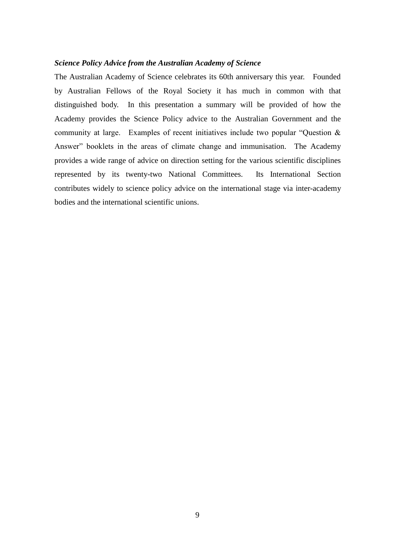#### *Science Policy Advice from the Australian Academy of Science*

The Australian Academy of Science celebrates its 60th anniversary this year. Founded by Australian Fellows of the Royal Society it has much in common with that distinguished body. In this presentation a summary will be provided of how the Academy provides the Science Policy advice to the Australian Government and the community at large. Examples of recent initiatives include two popular "Question & Answer" booklets in the areas of climate change and immunisation. The Academy provides a wide range of advice on direction setting for the various scientific disciplines represented by its twenty-two National Committees. Its International Section contributes widely to science policy advice on the international stage via inter-academy bodies and the international scientific unions.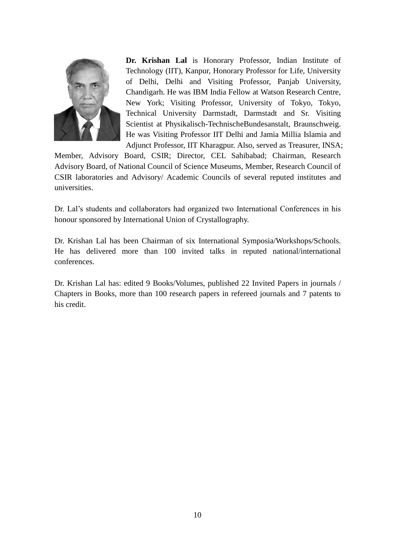

**Dr. Krishan Lal** is Honorary Professor, Indian Institute of Technology (IIT), Kanpur, Honorary Professor for Life, University of Delhi, Delhi and Visiting Professor, Panjab University, Chandigarh. He was IBM India Fellow at Watson Research Centre, New York; Visiting Professor, University of Tokyo, Tokyo, Technical University Darmstadt, Darmstadt and Sr. Visiting Scientist at Physikalisch-TechnischeBundesanstalt, Braunschweig. He was Visiting Professor IIT Delhi and Jamia Millia Islamia and Adjunct Professor, IIT Kharagpur. Also, served as Treasurer, INSA;

Member, Advisory Board, CSIR; Director, CEL Sahibabad; Chairman, Research Advisory Board, of National Council of Science Museums, Member, Research Council of CSIR laboratories and Advisory/ Academic Councils of several reputed institutes and universities.

Dr. Lal's students and collaborators had organized two International Conferences in his honour sponsored by International Union of Crystallography.

Dr. Krishan Lal has been Chairman of six International Symposia/Workshops/Schools. He has delivered more than 100 invited talks in reputed national/international conferences.

Dr. Krishan Lal has: edited 9 Books/Volumes, published 22 Invited Papers in journals / Chapters in Books, more than 100 research papers in refereed journals and 7 patents to his credit.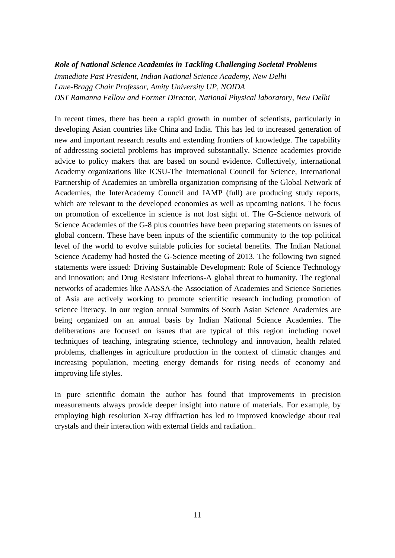#### *Role of National Science Academies in Tackling Challenging Societal Problems*

*Immediate Past President, Indian National Science Academy, New Delhi Laue-Bragg Chair Professor, Amity University UP, NOIDA DST Ramanna Fellow and Former Director, National Physical laboratory, New Delhi*

In recent times, there has been a rapid growth in number of scientists, particularly in developing Asian countries like China and India. This has led to increased generation of new and important research results and extending frontiers of knowledge. The capability of addressing societal problems has improved substantially. Science academies provide advice to policy makers that are based on sound evidence. Collectively, international Academy organizations like ICSU-The International Council for Science, International Partnership of Academies an umbrella organization comprising of the Global Network of Academies, the InterAcademy Council and IAMP (full) are producing study reports, which are relevant to the developed economies as well as upcoming nations. The focus on promotion of excellence in science is not lost sight of. The G-Science network of Science Academies of the G-8 plus countries have been preparing statements on issues of global concern. These have been inputs of the scientific community to the top political level of the world to evolve suitable policies for societal benefits. The Indian National Science Academy had hosted the G-Science meeting of 2013. The following two signed statements were issued: Driving Sustainable Development: Role of Science Technology and Innovation; and Drug Resistant Infections-A global threat to humanity. The regional networks of academies like AASSA-the Association of Academies and Science Societies of Asia are actively working to promote scientific research including promotion of science literacy. In our region annual Summits of South Asian Science Academies are being organized on an annual basis by Indian National Science Academies. The deliberations are focused on issues that are typical of this region including novel techniques of teaching, integrating science, technology and innovation, health related problems, challenges in agriculture production in the context of climatic changes and increasing population, meeting energy demands for rising needs of economy and improving life styles.

In pure scientific domain the author has found that improvements in precision measurements always provide deeper insight into nature of materials. For example, by employing high resolution X-ray diffraction has led to improved knowledge about real crystals and their interaction with external fields and radiation..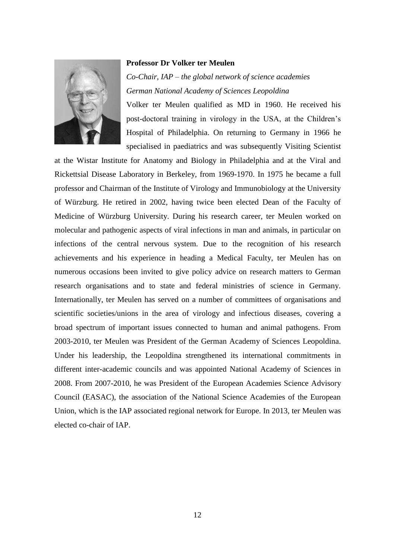## **Professor Dr Volker ter Meulen**



*Co-Chair, IAP – the global network of science academies German National Academy of Sciences Leopoldina*

Volker ter Meulen qualified as MD in 1960. He received his post-doctoral training in virology in the USA, at the Children's Hospital of Philadelphia. On returning to Germany in 1966 he specialised in paediatrics and was subsequently Visiting Scientist

at the Wistar Institute for Anatomy and Biology in Philadelphia and at the Viral and Rickettsial Disease Laboratory in Berkeley, from 1969-1970. In 1975 he became a full professor and Chairman of the Institute of Virology and Immunobiology at the University of Würzburg. He retired in 2002, having twice been elected Dean of the Faculty of Medicine of Würzburg University. During his research career, ter Meulen worked on molecular and pathogenic aspects of viral infections in man and animals, in particular on infections of the central nervous system. Due to the recognition of his research achievements and his experience in heading a Medical Faculty, ter Meulen has on numerous occasions been invited to give policy advice on research matters to German research organisations and to state and federal ministries of science in Germany. Internationally, ter Meulen has served on a number of committees of organisations and scientific societies/unions in the area of virology and infectious diseases, covering a broad spectrum of important issues connected to human and animal pathogens. From 2003-2010, ter Meulen was President of the German Academy of Sciences Leopoldina. Under his leadership, the Leopoldina strengthened its international commitments in different inter-academic councils and was appointed National Academy of Sciences in 2008. From 2007-2010, he was President of the European Academies Science Advisory Council (EASAC), the association of the National Science Academies of the European Union, which is the IAP associated regional network for Europe. In 2013, ter Meulen was elected co-chair of IAP.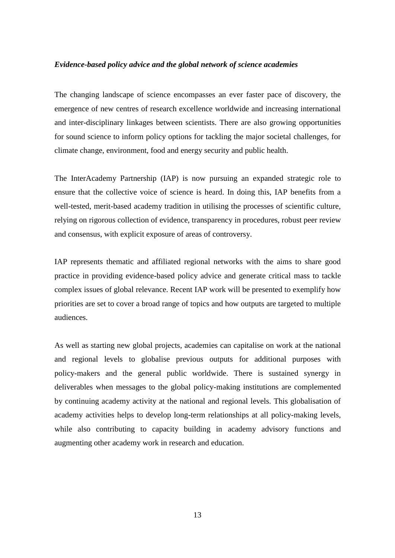#### *Evidence-based policy advice and the global network of science academies*

The changing landscape of science encompasses an ever faster pace of discovery, the emergence of new centres of research excellence worldwide and increasing international and inter-disciplinary linkages between scientists. There are also growing opportunities for sound science to inform policy options for tackling the major societal challenges, for climate change, environment, food and energy security and public health.

The InterAcademy Partnership (IAP) is now pursuing an expanded strategic role to ensure that the collective voice of science is heard. In doing this, IAP benefits from a well-tested, merit-based academy tradition in utilising the processes of scientific culture, relying on rigorous collection of evidence, transparency in procedures, robust peer review and consensus, with explicit exposure of areas of controversy.

IAP represents thematic and affiliated regional networks with the aims to share good practice in providing evidence-based policy advice and generate critical mass to tackle complex issues of global relevance. Recent IAP work will be presented to exemplify how priorities are set to cover a broad range of topics and how outputs are targeted to multiple audiences.

As well as starting new global projects, academies can capitalise on work at the national and regional levels to globalise previous outputs for additional purposes with policy-makers and the general public worldwide. There is sustained synergy in deliverables when messages to the global policy-making institutions are complemented by continuing academy activity at the national and regional levels. This globalisation of academy activities helps to develop long-term relationships at all policy-making levels, while also contributing to capacity building in academy advisory functions and augmenting other academy work in research and education.